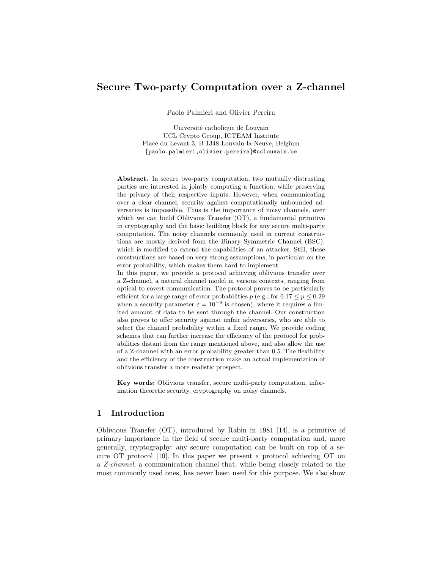# Secure Two-party Computation over a Z-channel

Paolo Palmieri and Olivier Pereira

Université catholique de Louvain UCL Crypto Group, ICTEAM Institute Place du Levant 3, B-1348 Louvain-la-Neuve, Belgium {paolo.palmieri,olivier.pereira}@uclouvain.be

Abstract. In secure two-party computation, two mutually distrusting parties are interested in jointly computing a function, while preserving the privacy of their respective inputs. However, when communicating over a clear channel, security against computationally unbounded adversaries is impossible. Thus is the importance of noisy channels, over which we can build Oblivious Transfer (OT), a fundamental primitive in cryptography and the basic building block for any secure multi-party computation. The noisy channels commonly used in current constructions are mostly derived from the Binary Symmetric Channel (BSC), which is modified to extend the capabilities of an attacker. Still, these constructions are based on very strong assumptions, in particular on the error probability, which makes them hard to implement.

In this paper, we provide a protocol achieving oblivious transfer over a Z-channel, a natural channel model in various contexts, ranging from optical to covert communication. The protocol proves to be particularly efficient for a large range of error probabilities p (e.g., for  $0.17 \le p \le 0.29$ ) when a security parameter  $\varepsilon = 10^{-9}$  is chosen), where it requires a limited amount of data to be sent through the channel. Our construction also proves to offer security against unfair adversaries, who are able to select the channel probability within a fixed range. We provide coding schemes that can further increase the efficiency of the protocol for probabilities distant from the range mentioned above, and also allow the use of a Z-channel with an error probability greater than 0.5. The flexibility and the efficiency of the construction make an actual implementation of oblivious transfer a more realistic prospect.

Key words: Oblivious transfer, secure multi-party computation, information theoretic security, cryptography on noisy channels.

# 1 Introduction

Oblivious Transfer (OT), introduced by Rabin in 1981 [14], is a primitive of primary importance in the field of secure multi-party computation and, more generally, cryptography: any secure computation can be built on top of a secure OT protocol [10]. In this paper we present a protocol achieving OT on a Z-channel, a communication channel that, while being closely related to the most commonly used ones, has never been used for this purpose. We also show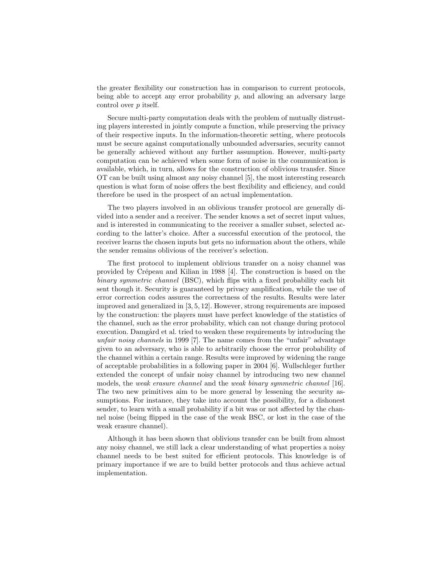the greater flexibility our construction has in comparison to current protocols, being able to accept any error probability  $p$ , and allowing an adversary large control over p itself.

Secure multi-party computation deals with the problem of mutually distrusting players interested in jointly compute a function, while preserving the privacy of their respective inputs. In the information-theoretic setting, where protocols must be secure against computationally unbounded adversaries, security cannot be generally achieved without any further assumption. However, multi-party computation can be achieved when some form of noise in the communication is available, which, in turn, allows for the construction of oblivious transfer. Since OT can be built using almost any noisy channel [5], the most interesting research question is what form of noise offers the best flexibility and efficiency, and could therefore be used in the prospect of an actual implementation.

The two players involved in an oblivious transfer protocol are generally divided into a sender and a receiver. The sender knows a set of secret input values, and is interested in communicating to the receiver a smaller subset, selected according to the latter's choice. After a successful execution of the protocol, the receiver learns the chosen inputs but gets no information about the others, while the sender remains oblivious of the receiver's selection.

The first protocol to implement oblivious transfer on a noisy channel was provided by Crépeau and Kilian in  $1988$  [4]. The construction is based on the binary symmetric channel (BSC), which flips with a fixed probability each bit sent though it. Security is guaranteed by privacy amplification, while the use of error correction codes assures the correctness of the results. Results were later improved and generalized in [3, 5, 12]. However, strong requirements are imposed by the construction: the players must have perfect knowledge of the statistics of the channel, such as the error probability, which can not change during protocol execution. Damgård et al. tried to weaken these requirements by introducing the unfair noisy channels in 1999 [7]. The name comes from the "unfair" advantage given to an adversary, who is able to arbitrarily choose the error probability of the channel within a certain range. Results were improved by widening the range of acceptable probabilities in a following paper in 2004 [6]. Wullschleger further extended the concept of unfair noisy channel by introducing two new channel models, the weak erasure channel and the weak binary symmetric channel [16]. The two new primitives aim to be more general by lessening the security assumptions. For instance, they take into account the possibility, for a dishonest sender, to learn with a small probability if a bit was or not affected by the channel noise (being flipped in the case of the weak BSC, or lost in the case of the weak erasure channel).

Although it has been shown that oblivious transfer can be built from almost any noisy channel, we still lack a clear understanding of what properties a noisy channel needs to be best suited for efficient protocols. This knowledge is of primary importance if we are to build better protocols and thus achieve actual implementation.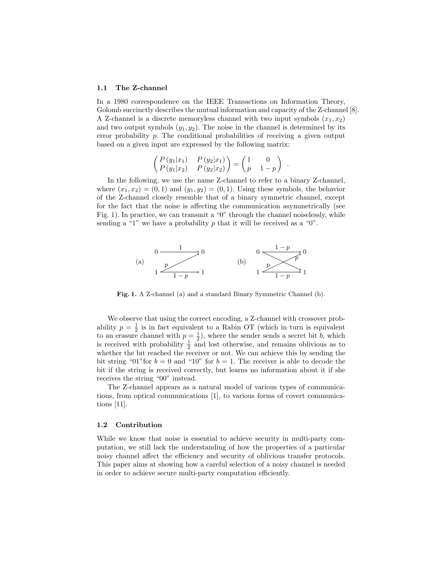#### 1.1 The Z-channel

In a 1980 correspondence on the IEEE Transactions on Information Theory, Golomb succinctly describes the mutual information and capacity of the Z-channel [8]. A Z-channel is a discrete memoryless channel with two input symbols  $(x_1, x_2)$ and two output symbols  $(y_1, y_2)$ . The noise in the channel is determined by its error probability p. The conditional probabilities of receiving a given output based on a given input are expressed by the following matrix:

$$
\begin{pmatrix}\nP(y_1|x_1) & P(y_2|x_1) \\
P(y_1|x_2) & P(y_2|x_2)\n\end{pmatrix} = \begin{pmatrix} 1 & 0 \\
p & 1-p \end{pmatrix} .
$$

In the following, we use the name Z-channel to refer to a binary Z-channel, where  $(x_1, x_2) = (0, 1)$  and  $(y_1, y_2) = (0, 1)$ . Using these symbols, the behavior of the Z-channel closely resemble that of a binary symmetric channel, except for the fact that the noise is affecting the communication asymmetrically (see Fig. 1). In practice, we can transmit a "0" through the channel noiselessly, while sending a "1" we have a probability p that it will be received as a "0".



Fig. 1. A Z-channel (a) and a standard Binary Symmetric Channel (b).

We observe that using the correct encoding, a Z-channel with crossover probability  $p = \frac{1}{2}$  is in fact equivalent to a Rabin OT (which in turn is equivalent to an erasure channel with  $p = \frac{1}{2}$ , where the sender sends a secret bit b, which is received with probability  $\frac{1}{2}$  and lost otherwise, and remains oblivious as to whether the bit reached the receiver or not. We can achieve this by sending the bit string "01" for  $b = 0$  and "10" for  $b = 1$ . The receiver is able to decode the bit if the string is received correctly, but learns no information about it if she receives the string "00" instead.

The Z-channel appears as a natural model of various types of communications, from optical communications [1], to various forms of covert communications [11].

### 1.2 Contribution

While we know that noise is essential to achieve security in multi-party computation, we still lack the understanding of how the properties of a particular noisy channel affect the efficiency and security of oblivious transfer protocols. This paper aims at showing how a careful selection of a noisy channel is needed in order to achieve secure multi-party computation efficiently.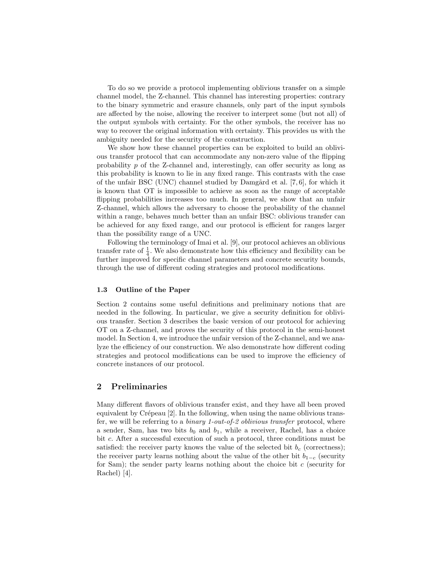To do so we provide a protocol implementing oblivious transfer on a simple channel model, the Z-channel. This channel has interesting properties: contrary to the binary symmetric and erasure channels, only part of the input symbols are affected by the noise, allowing the receiver to interpret some (but not all) of the output symbols with certainty. For the other symbols, the receiver has no way to recover the original information with certainty. This provides us with the ambiguity needed for the security of the construction.

We show how these channel properties can be exploited to build an oblivious transfer protocol that can accommodate any non-zero value of the flipping probability p of the Z-channel and, interestingly, can offer security as long as this probability is known to lie in any fixed range. This contrasts with the case of the unfair BSC (UNC) channel studied by Damgård et al.  $[7, 6]$ , for which it is known that OT is impossible to achieve as soon as the range of acceptable flipping probabilities increases too much. In general, we show that an unfair Z-channel, which allows the adversary to choose the probability of the channel within a range, behaves much better than an unfair BSC: oblivious transfer can be achieved for any fixed range, and our protocol is efficient for ranges larger than the possibility range of a UNC.

Following the terminology of Imai et al. [9], our protocol achieves an oblivious transfer rate of  $\frac{1}{4}$ . We also demonstrate how this efficiency and flexibility can be further improved for specific channel parameters and concrete security bounds, through the use of different coding strategies and protocol modifications.

### 1.3 Outline of the Paper

Section 2 contains some useful definitions and preliminary notions that are needed in the following. In particular, we give a security definition for oblivious transfer. Section 3 describes the basic version of our protocol for achieving OT on a Z-channel, and proves the security of this protocol in the semi-honest model. In Section 4, we introduce the unfair version of the Z-channel, and we analyze the efficiency of our construction. We also demonstrate how different coding strategies and protocol modifications can be used to improve the efficiency of concrete instances of our protocol.

# 2 Preliminaries

Many different flavors of oblivious transfer exist, and they have all been proved equivalent by Crépeau [2]. In the following, when using the name oblivious transfer, we will be referring to a binary 1-out-of-2 oblivious transfer protocol, where a sender, Sam, has two bits  $b_0$  and  $b_1$ , while a receiver, Rachel, has a choice bit c. After a successful execution of such a protocol, three conditions must be satisfied: the receiver party knows the value of the selected bit  $b_c$  (correctness); the receiver party learns nothing about the value of the other bit  $b_{1-c}$  (security for Sam); the sender party learns nothing about the choice bit  $c$  (security for Rachel) [4].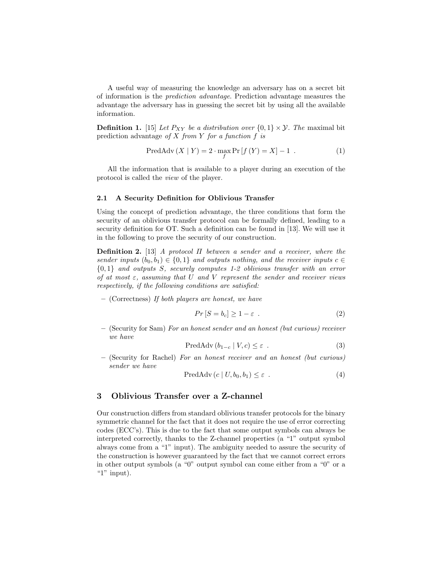A useful way of measuring the knowledge an adversary has on a secret bit of information is the prediction advantage. Prediction advantage measures the advantage the adversary has in guessing the secret bit by using all the available information.

**Definition 1.** [15] Let  $P_{XY}$  be a distribution over  $\{0,1\} \times \mathcal{Y}$ . The maximal bit prediction advantage of  $X$  from  $Y$  for a function  $f$  is

$$
PredAdv(X | Y) = 2 \cdot \max_{f} Pr[f(Y) = X] - 1 .
$$
 (1)

All the information that is available to a player during an execution of the protocol is called the view of the player.

#### 2.1 A Security Definition for Oblivious Transfer

Using the concept of prediction advantage, the three conditions that form the security of an oblivious transfer protocol can be formally defined, leading to a security definition for OT. Such a definition can be found in [13]. We will use it in the following to prove the security of our construction.

**Definition 2.** [13] A protocol  $\Pi$  between a sender and a receiver, where the sender inputs  $(b_0, b_1) \in \{0, 1\}$  and outputs nothing, and the receiver inputs  $c \in$  ${0,1}$  and outputs S, securely computes 1-2 oblivious transfer with an error of at most  $\varepsilon$ , assuming that U and V represent the sender and receiver views respectively, if the following conditions are satisfied:

– (Correctness) If both players are honest, we have

$$
Pr\left[S = b_c\right] \ge 1 - \varepsilon \tag{2}
$$

– (Security for Sam) For an honest sender and an honest (but curious) receiver we have

$$
PredAdv(b_{1-c} | V, c) \le \varepsilon . \tag{3}
$$

– (Security for Rachel) For an honest receiver and an honest (but curious) sender we have

$$
PredAdv(c | U, b_0, b_1) \le \varepsilon . \tag{4}
$$

# 3 Oblivious Transfer over a Z-channel

Our construction differs from standard oblivious transfer protocols for the binary symmetric channel for the fact that it does not require the use of error correcting codes (ECC's). This is due to the fact that some output symbols can always be interpreted correctly, thanks to the Z-channel properties (a "1" output symbol always come from a "1" input). The ambiguity needed to assure the security of the construction is however guaranteed by the fact that we cannot correct errors in other output symbols (a "0" output symbol can come either from a "0" or a " $1$ " input).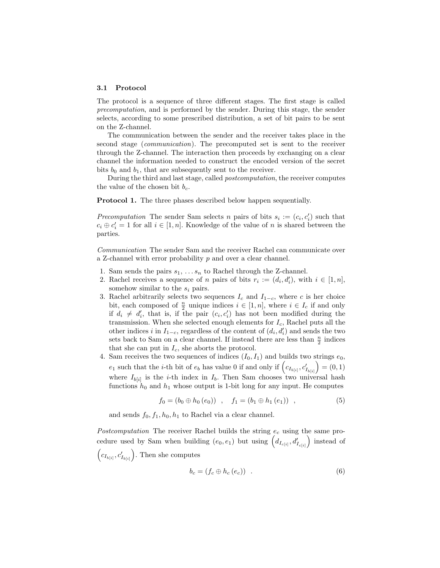#### 3.1 Protocol

The protocol is a sequence of three different stages. The first stage is called precomputation, and is performed by the sender. During this stage, the sender selects, according to some prescribed distribution, a set of bit pairs to be sent on the Z-channel.

The communication between the sender and the receiver takes place in the second stage (communication). The precomputed set is sent to the receiver through the Z-channel. The interaction then proceeds by exchanging on a clear channel the information needed to construct the encoded version of the secret bits  $b_0$  and  $b_1$ , that are subsequently sent to the receiver.

During the third and last stage, called postcomputation, the receiver computes the value of the chosen bit  $b_c$ .

Protocol 1. The three phases described below happen sequentially.

Precomputation The sender Sam selects n pairs of bits  $s_i := (c_i, c'_i)$  such that  $c_i \oplus c'_i = 1$  for all  $i \in [1, n]$ . Knowledge of the value of n is shared between the parties.

Communication The sender Sam and the receiver Rachel can communicate over a Z-channel with error probability p and over a clear channel.

- 1. Sam sends the pairs  $s_1, \ldots s_n$  to Rachel through the Z-channel.
- 2. Rachel receives a sequence of n pairs of bits  $r_i := (d_i, d'_i)$ , with  $i \in [1, n]$ , somehow similar to the  $s_i$  pairs.
- 3. Rachel arbitrarily selects two sequences  $I_c$  and  $I_{1-c}$ , where c is her choice bit, each composed of  $\frac{n}{2}$  unique indices  $i \in [1, n]$ , where  $i \in I_c$  if and only if  $d_i \neq d'_i$ , that is, if the pair  $(c_i, c'_i)$  has not been modified during the transmission. When she selected enough elements for  $I_c$ , Rachel puts all the other indices i in  $I_{1-c}$ , regardless of the content of  $(d_i, d'_i)$  and sends the two sets back to Sam on a clear channel. If instead there are less than  $\frac{n}{2}$  indices that she can put in  $I_c$ , she aborts the protocol.
- 4. Sam receives the two sequences of indices  $(I_0, I_1)$  and builds two strings  $e_0$ ,  $e_1$  such that the *i*-th bit of  $e_b$  has value 0 if and only if  $(c_{I_{b[i]}}, c'_{I_{b[i]}}) = (0, 1)$ where  $I_{b[i]}$  is the *i*-th index in  $I_b$ . Then Sam chooses two universal hash functions  $h_0$  and  $h_1$  whose output is 1-bit long for any input. He computes

$$
f_0 = (b_0 \oplus h_0(e_0)), \quad f_1 = (b_1 \oplus h_1(e_1)), \quad (5)
$$

and sends  $f_0, f_1, h_0, h_1$  to Rachel via a clear channel.

Postcomputation The receiver Rachel builds the string  $e_c$  using the same procedure used by Sam when building  $(e_0, e_1)$  but using  $\left(d_{I_{c[i]}}, d'_{I_{c[i]}}\right)$  instead of  $(c_{I_{b[i]}}, c'_{I_{b[i]}})$ . Then she computes

$$
b_c = (f_c \oplus h_c(e_c)) \quad . \tag{6}
$$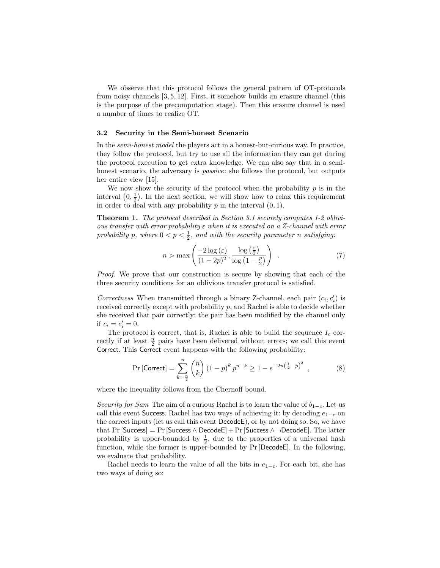We observe that this protocol follows the general pattern of OT-protocols from noisy channels [3, 5, 12]. First, it somehow builds an erasure channel (this is the purpose of the precomputation stage). Then this erasure channel is used a number of times to realize OT.

### 3.2 Security in the Semi-honest Scenario

In the semi-honest model the players act in a honest-but-curious way. In practice, they follow the protocol, but try to use all the information they can get during the protocol execution to get extra knowledge. We can also say that in a semihonest scenario, the adversary is *passive*: she follows the protocol, but outputs her entire view [15].

We now show the security of the protocol when the probability  $p$  is in the interval  $(0, \frac{1}{2})$ . In the next section, we will show how to relax this requirement in order to deal with any probability  $p$  in the interval  $(0, 1)$ .

Theorem 1. The protocol described in Section 3.1 securely computes 1-2 oblivious transfer with error probability  $\varepsilon$  when it is executed on a Z-channel with error probability p, where  $0 < p < \frac{1}{2}$ , and with the security parameter n satisfying:

$$
n > \max\left(\frac{-2\log\left(\varepsilon\right)}{(1-2p)^2}, \frac{\log\left(\frac{\varepsilon}{2}\right)}{\log\left(1-\frac{p}{2}\right)}\right) \tag{7}
$$

Proof. We prove that our construction is secure by showing that each of the three security conditions for an oblivious transfer protocol is satisfied.

Correctness When transmitted through a binary Z-channel, each pair  $(c_i, c'_i)$  is received correctly except with probability  $p$ , and Rachel is able to decide whether she received that pair correctly: the pair has been modified by the channel only if  $c_i = c'_i = 0$ .

The protocol is correct, that is, Rachel is able to build the sequence  $I_c$  correctly if at least  $\frac{n}{2}$  pairs have been delivered without errors; we call this event Correct. This Correct event happens with the following probability:

$$
\Pr\left[\text{Correct}\right] = \sum_{k=\frac{n}{2}}^{n} \binom{n}{k} \left(1-p\right)^k p^{n-k} \ge 1 - e^{-2n\left(\frac{1}{2}-p\right)^2} \tag{8}
$$

where the inequality follows from the Chernoff bound.

Security for Sam The aim of a curious Rachel is to learn the value of  $b_{1-c}$ . Let us call this event Success. Rachel has two ways of achieving it: by decoding  $e_{1-c}$  on the correct inputs (let us call this event DecodeE), or by not doing so. So, we have that Pr [Success] = Pr [Success  $\wedge$  DecodeE] + Pr [Success  $\wedge$  ¬DecodeE]. The latter probability is upper-bounded by  $\frac{1}{2}$ , due to the properties of a universal hash function, while the former is upper-bounded by Pr [DecodeE]. In the following, we evaluate that probability.

Rachel needs to learn the value of all the bits in  $e_{1-c}$ . For each bit, she has two ways of doing so: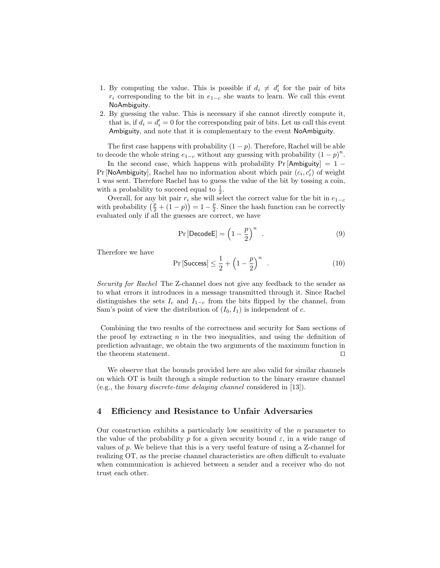- 1. By computing the value. This is possible if  $d_i \neq d'_i$  for the pair of bits  $r_i$  corresponding to the bit in  $e_{1-c}$  she wants to learn. We call this event NoAmbiguity.
- 2. By guessing the value. This is necessary if she cannot directly compute it, that is, if  $d_i = d'_i = 0$  for the corresponding pair of bits. Let us call this event Ambiguity, and note that it is complementary to the event NoAmbiguity.

The first case happens with probability  $(1 - p)$ . Therefore, Rachel will be able to decode the whole string  $e_{1-c}$  without any guessing with probability  $(1-p)^n$ .

In the second case, which happens with probability Pr  $[Ambiguity] = 1 -$ Pr [NoAmbiguity], Rachel has no information about which pair  $(c_i, c'_i)$  of weight 1 was sent. Therefore Rachel has to guess the value of the bit by tossing a coin, with a probability to succeed equal to  $\frac{1}{2}$ .

Overall, for any bit pair  $r_i$  she will select the correct value for the bit in  $e_{1-c}$ with probability  $(\frac{p}{2} + (1-p)) = 1 - \frac{p}{2}$ . Since the hash function can be correctly evaluated only if all the guesses are correct, we have

$$
Pr[DecodeE] = \left(1 - \frac{p}{2}\right)^n . \tag{9}
$$

Therefore we have

$$
\Pr\left[\text{Success}\right] \le \frac{1}{2} + \left(1 - \frac{p}{2}\right)^n \tag{10}
$$

Security for Rachel The Z-channel does not give any feedback to the sender as to what errors it introduces in a message transmitted through it. Since Rachel distinguishes the sets  $I_c$  and  $I_{1-c}$  from the bits flipped by the channel, from Sam's point of view the distribution of  $(I_0, I_1)$  is independent of c.

Combining the two results of the correctness and security for Sam sections of the proof by extracting  $n$  in the two inequalities, and using the definition of prediction advantage, we obtain the two arguments of the maximum function in the theorem statement.  $\Box$ 

We observe that the bounds provided here are also valid for similar channels on which OT is built through a simple reduction to the binary erasure channel (e.g., the binary discrete-time delaying channel considered in [13]).

# 4 Efficiency and Resistance to Unfair Adversaries

Our construction exhibits a particularly low sensitivity of the  $n$  parameter to the value of the probability p for a given security bound  $\varepsilon$ , in a wide range of values of  $p$ . We believe that this is a very useful feature of using a Z-channel for realizing OT, as the precise channel characteristics are often difficult to evaluate when communication is achieved between a sender and a receiver who do not trust each other.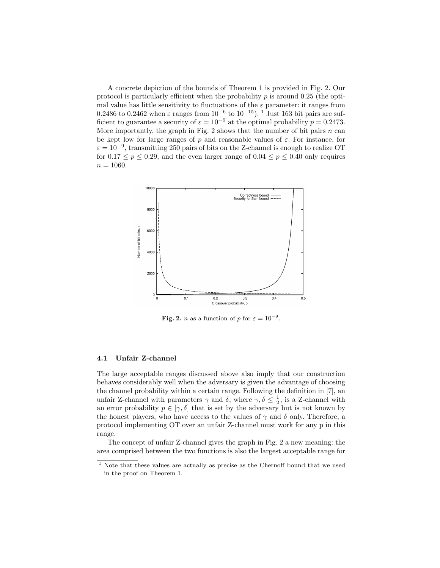A concrete depiction of the bounds of Theorem 1 is provided in Fig. 2. Our protocol is particularly efficient when the probability  $p$  is around 0.25 (the optimal value has little sensitivity to fluctuations of the  $\varepsilon$  parameter: it ranges from 0.2486 to 0.2462 when  $\varepsilon$  ranges from  $10^{-6}$  to  $10^{-15}$ ). <sup>1</sup> Just 163 bit pairs are sufficient to guarantee a security of  $\varepsilon = 10^{-9}$  at the optimal probability  $p = 0.2473$ . More importantly, the graph in Fig. 2 shows that the number of bit pairs  $n$  can be kept low for large ranges of p and reasonable values of  $\varepsilon$ . For instance, for  $\varepsilon = 10^{-9}$ , transmitting 250 pairs of bits on the Z-channel is enough to realize OT for  $0.17 \le p \le 0.29$ , and the even larger range of  $0.04 \le p \le 0.40$  only requires  $n=1060.\,$ 



**Fig. 2.** *n* as a function of p for  $\varepsilon = 10^{-9}$ .

### 4.1 Unfair Z-channel

The large acceptable ranges discussed above also imply that our construction behaves considerably well when the adversary is given the advantage of choosing the channel probability within a certain range. Following the definition in [7], an unfair Z-channel with parameters  $\gamma$  and  $\delta$ , where  $\gamma, \delta \leq \frac{1}{2}$ , is a Z-channel with an error probability  $p \in [\gamma, \delta]$  that is set by the adversary but is not known by the honest players, who have access to the values of  $\gamma$  and  $\delta$  only. Therefore, a protocol implementing OT over an unfair Z-channel must work for any p in this range.

The concept of unfair Z-channel gives the graph in Fig. 2 a new meaning: the area comprised between the two functions is also the largest acceptable range for

<sup>1</sup> Note that these values are actually as precise as the Chernoff bound that we used in the proof on Theorem 1.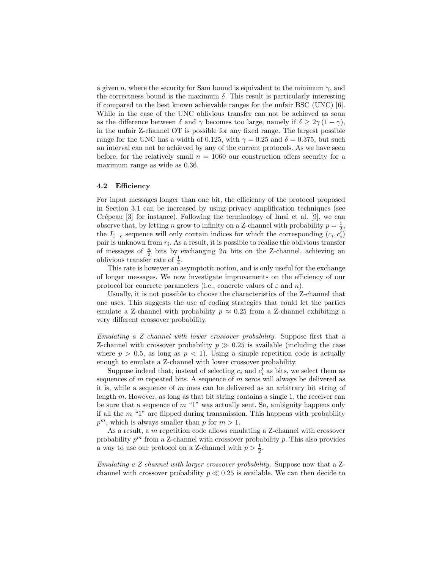a given n, where the security for Sam bound is equivalent to the minimum  $\gamma$ , and the correctness bound is the maximum  $\delta$ . This result is particularly interesting if compared to the best known achievable ranges for the unfair BSC (UNC) [6]. While in the case of the UNC oblivious transfer can not be achieved as soon as the difference between  $\delta$  and  $\gamma$  becomes too large, namely if  $\delta \geq 2\gamma (1 - \gamma)$ , in the unfair Z-channel OT is possible for any fixed range. The largest possible range for the UNC has a width of 0.125, with  $\gamma = 0.25$  and  $\delta = 0.375$ , but such an interval can not be achieved by any of the current protocols. As we have seen before, for the relatively small  $n = 1060$  our construction offers security for a maximum range as wide as 0.36.

## 4.2 Efficiency

For input messages longer than one bit, the efficiency of the protocol proposed in Section 3.1 can be increased by using privacy amplification techniques (see Crépeau  $[3]$  for instance). Following the terminology of Imai et al.  $[9]$ , we can observe that, by letting *n* grow to infinity on a Z-channel with probability  $p = \frac{1}{2}$ , the  $I_{1-c}$  sequence will only contain indices for which the corresponding  $(c_i, c_i)$ pair is unknown from  $r_i$ . As a result, it is possible to realize the oblivious transfer of messages of  $\frac{n}{2}$  bits by exchanging 2n bits on the Z-channel, achieving an oblivious transfer rate of  $\frac{1}{4}$ .

This rate is however an asymptotic notion, and is only useful for the exchange of longer messages. We now investigate improvements on the efficiency of our protocol for concrete parameters (i.e., concrete values of  $\varepsilon$  and n).

Usually, it is not possible to choose the characteristics of the Z-channel that one uses. This suggests the use of coding strategies that could let the parties emulate a Z-channel with probability  $p \approx 0.25$  from a Z-channel exhibiting a very different crossover probability.

Emulating a Z channel with lower crossover probability. Suppose first that a Z-channel with crossover probability  $p \gg 0.25$  is available (including the case where  $p > 0.5$ , as long as  $p < 1$ ). Using a simple repetition code is actually enough to emulate a Z-channel with lower crossover probability.

Suppose indeed that, instead of selecting  $c_i$  and  $c'_i$  as bits, we select them as sequences of m repeated bits. A sequence of m zeros will always be delivered as it is, while a sequence of  $m$  ones can be delivered as an arbitrary bit string of length  $m$ . However, as long as that bit string contains a single 1, the receiver can be sure that a sequence of  $m$  "1" was actually sent. So, ambiguity happens only if all the  $m$  "1" are flipped during transmission. This happens with probability  $p^m$ , which is always smaller than p for  $m > 1$ .

As a result, a m repetition code allows emulating a Z-channel with crossover probability  $p^m$  from a Z-channel with crossover probability  $p$ . This also provides a way to use our protocol on a Z-channel with  $p > \frac{1}{2}$ .

Emulating a Z channel with larger crossover probability. Suppose now that a Zchannel with crossover probability  $p \ll 0.25$  is available. We can then decide to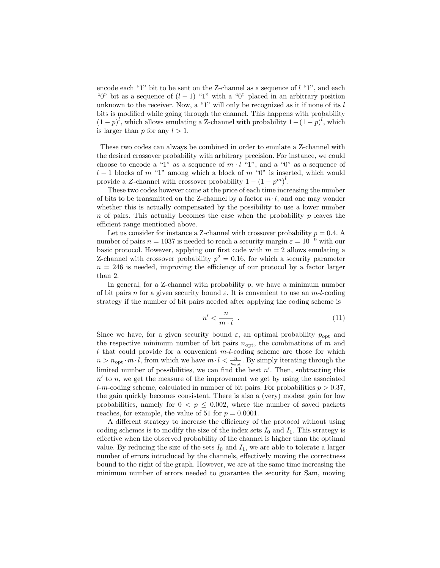encode each "1" bit to be sent on the Z-channel as a sequence of  $l$  "1", and each "0" bit as a sequence of  $(l-1)$  "1" with a "0" placed in an arbitrary position unknown to the receiver. Now, a "1" will only be recognized as it if none of its  $l$ bits is modified while going through the channel. This happens with probability  $(1-p)^l$ , which allows emulating a Z-channel with probability  $1-(1-p)^l$ , which is larger than p for any  $l > 1$ .

These two codes can always be combined in order to emulate a Z-channel with the desired crossover probability with arbitrary precision. For instance, we could choose to encode a "1" as a sequence of  $m \cdot l$  "1", and a "0" as a sequence of  $l-1$  blocks of m "1" among which a block of m "0" is inserted, which would provide a Z-channel with crossover probability  $1 - (1 - p<sup>m</sup>)<sup>l</sup>$ .

These two codes however come at the price of each time increasing the number of bits to be transmitted on the Z-channel by a factor  $m \cdot l$ , and one may wonder whether this is actually compensated by the possibility to use a lower number n of pairs. This actually becomes the case when the probability  $p$  leaves the efficient range mentioned above.

Let us consider for instance a Z-channel with crossover probability  $p = 0.4$ . A number of pairs  $n = 1037$  is needed to reach a security margin  $\varepsilon = 10^{-9}$  with our basic protocol. However, applying our first code with  $m = 2$  allows emulating a Z-channel with crossover probability  $p^2 = 0.16$ , for which a security parameter  $n = 246$  is needed, improving the efficiency of our protocol by a factor larger than 2.

In general, for a Z-channel with probability  $p$ , we have a minimum number of bit pairs n for a given security bound  $\varepsilon$ . It is convenient to use an m-l-coding strategy if the number of bit pairs needed after applying the coding scheme is

$$
n' < \frac{n}{m \cdot l} \tag{11}
$$

Since we have, for a given security bound  $\varepsilon$ , an optimal probability  $p_{opt}$  and the respective minimum number of bit pairs  $n_{\text{opt}}$ , the combinations of m and  $l$  that could provide for a convenient  $m-l$ -coding scheme are those for which  $n > n_{\text{opt}} \cdot m \cdot l$ , from which we have  $m \cdot l < \frac{n}{n_{\text{opt}}}$ . By simply iterating through the limited number of possibilities, we can find the best  $n'$ . Then, subtracting this  $n'$  to n, we get the measure of the improvement we get by using the associated l-m-coding scheme, calculated in number of bit pairs. For probabilities  $p > 0.37$ , the gain quickly becomes consistent. There is also a (very) modest gain for low probabilities, namely for  $0 < p \leq 0.002$ , where the number of saved packets reaches, for example, the value of 51 for  $p = 0.0001$ .

A different strategy to increase the efficiency of the protocol without using coding schemes is to modify the size of the index sets  $I_0$  and  $I_1$ . This strategy is effective when the observed probability of the channel is higher than the optimal value. By reducing the size of the sets  $I_0$  and  $I_1$ , we are able to tolerate a larger number of errors introduced by the channels, effectively moving the correctness bound to the right of the graph. However, we are at the same time increasing the minimum number of errors needed to guarantee the security for Sam, moving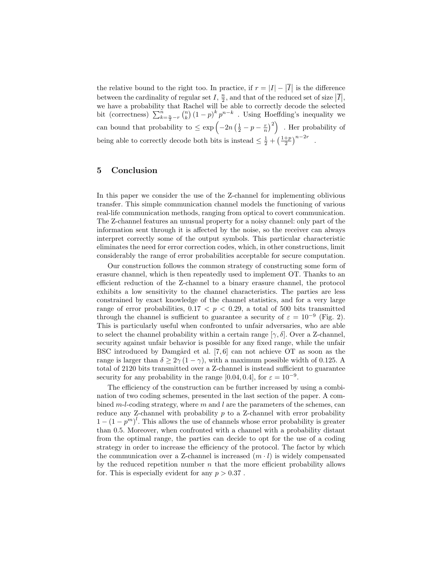the relative bound to the right too. In practice, if  $r = |I| - |\overline{I}|$  is the difference between the cardinality of regular set  $I, \frac{n}{2}$ , and that of the reduced set of size  $|\overline{I}|$ , between the cardinality of regular set  $T$ ,  $\frac{1}{2}$ , and that of the reduced set of size  $|T|$ , we have a probability that Rachel will be able to correctly decode the selected bit (correctness)  $\sum_{k=\frac{n}{2}-r}^{n} {n \choose k} (1-p)^k p^{n-k}$ . Using Hoeffding's inequality we can bound that probability to  $\leq \exp\left(-2n\left(\frac{1}{2}-p-\frac{r}{n}\right)^2\right)$ . Her probability of being able to correctly decode both bits is instead  $\leq \frac{1}{2} + \left(\frac{1+p}{2}\right)^{n-2r}$ .

# 5 Conclusion

In this paper we consider the use of the Z-channel for implementing oblivious transfer. This simple communication channel models the functioning of various real-life communication methods, ranging from optical to covert communication. The Z-channel features an unusual property for a noisy channel: only part of the information sent through it is affected by the noise, so the receiver can always interpret correctly some of the output symbols. This particular characteristic eliminates the need for error correction codes, which, in other constructions, limit considerably the range of error probabilities acceptable for secure computation.

Our construction follows the common strategy of constructing some form of erasure channel, which is then repeatedly used to implement OT. Thanks to an efficient reduction of the Z-channel to a binary erasure channel, the protocol exhibits a low sensitivity to the channel characteristics. The parties are less constrained by exact knowledge of the channel statistics, and for a very large range of error probabilities,  $0.17 < p < 0.29$ , a total of 500 bits transmitted through the channel is sufficient to guarantee a security of  $\varepsilon = 10^{-9}$  (Fig. 2). This is particularly useful when confronted to unfair adversaries, who are able to select the channel probability within a certain range  $[\gamma, \delta]$ . Over a Z-channel, security against unfair behavior is possible for any fixed range, while the unfair BSC introduced by Damgård et al.  $[7, 6]$  can not achieve OT as soon as the range is larger than  $\delta \geq 2\gamma (1 - \gamma)$ , with a maximum possible width of 0.125. A total of 2120 bits transmitted over a Z-channel is instead sufficient to guarantee security for any probability in the range [0.04, 0.4], for  $\varepsilon = 10^{-9}$ .

The efficiency of the construction can be further increased by using a combination of two coding schemes, presented in the last section of the paper. A combined m-l-coding strategy, where m and l are the parameters of the schemes, can reduce any Z-channel with probability  $p$  to a Z-channel with error probability  $1 - (1 - p<sup>m</sup>)<sup>l</sup>$ . This allows the use of channels whose error probability is greater than 0.5. Moreover, when confronted with a channel with a probability distant from the optimal range, the parties can decide to opt for the use of a coding strategy in order to increase the efficiency of the protocol. The factor by which the communication over a Z-channel is increased  $(m \cdot l)$  is widely compensated by the reduced repetition number  $n$  that the more efficient probability allows for. This is especially evident for any  $p > 0.37$ .